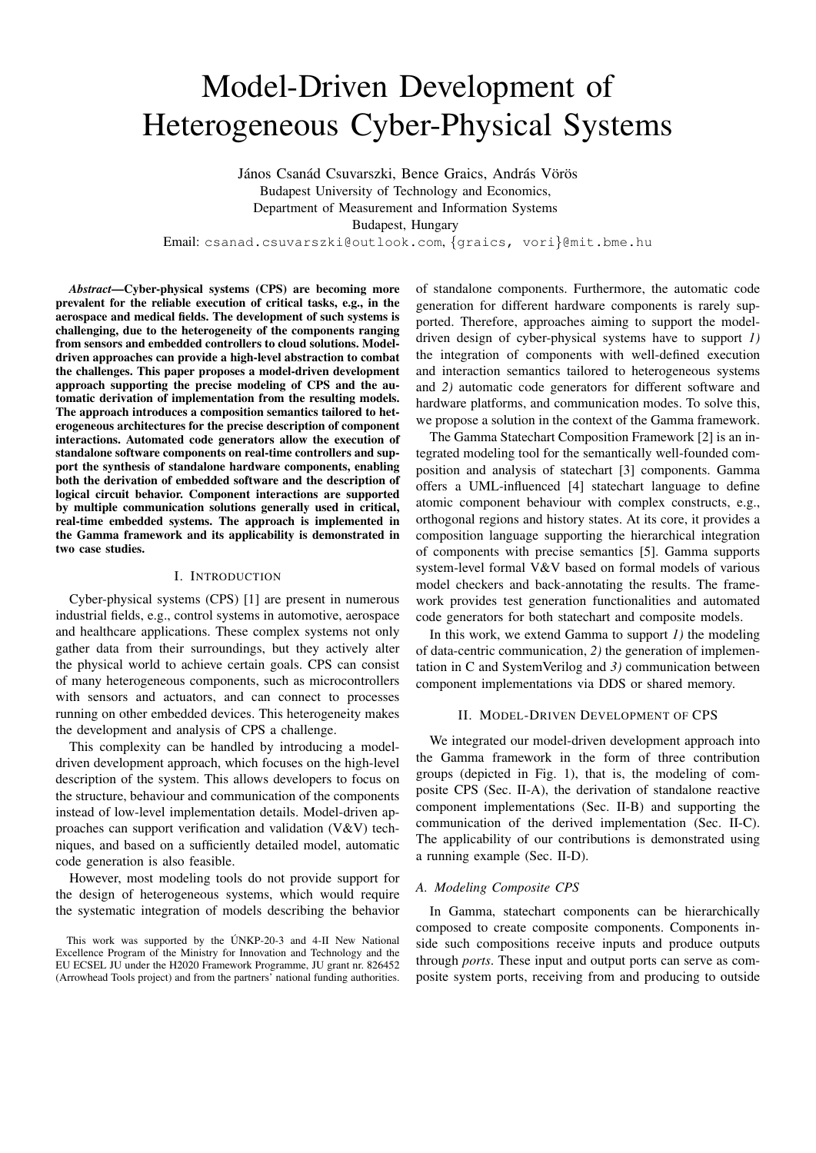# Model-Driven Development of Heterogeneous Cyber-Physical Systems

János Csanád Csuvarszki, Bence Graics, András Vörös Budapest University of Technology and Economics, Department of Measurement and Information Systems Budapest, Hungary

Email: csanad.csuvarszki@outlook.com, {graics, vori}@mit.bme.hu

*Abstract*—Cyber-physical systems (CPS) are becoming more prevalent for the reliable execution of critical tasks, e.g., in the aerospace and medical fields. The development of such systems is challenging, due to the heterogeneity of the components ranging from sensors and embedded controllers to cloud solutions. Modeldriven approaches can provide a high-level abstraction to combat the challenges. This paper proposes a model-driven development approach supporting the precise modeling of CPS and the automatic derivation of implementation from the resulting models. The approach introduces a composition semantics tailored to heterogeneous architectures for the precise description of component interactions. Automated code generators allow the execution of standalone software components on real-time controllers and support the synthesis of standalone hardware components, enabling both the derivation of embedded software and the description of logical circuit behavior. Component interactions are supported by multiple communication solutions generally used in critical, real-time embedded systems. The approach is implemented in the Gamma framework and its applicability is demonstrated in two case studies.

## I. INTRODUCTION

Cyber-physical systems (CPS) [1] are present in numerous industrial fields, e.g., control systems in automotive, aerospace and healthcare applications. These complex systems not only gather data from their surroundings, but they actively alter the physical world to achieve certain goals. CPS can consist of many heterogeneous components, such as microcontrollers with sensors and actuators, and can connect to processes running on other embedded devices. This heterogeneity makes the development and analysis of CPS a challenge.

This complexity can be handled by introducing a modeldriven development approach, which focuses on the high-level description of the system. This allows developers to focus on the structure, behaviour and communication of the components instead of low-level implementation details. Model-driven approaches can support verification and validation (V&V) techniques, and based on a sufficiently detailed model, automatic code generation is also feasible.

However, most modeling tools do not provide support for the design of heterogeneous systems, which would require the systematic integration of models describing the behavior

of standalone components. Furthermore, the automatic code generation for different hardware components is rarely supported. Therefore, approaches aiming to support the modeldriven design of cyber-physical systems have to support *1)* the integration of components with well-defined execution and interaction semantics tailored to heterogeneous systems and *2)* automatic code generators for different software and hardware platforms, and communication modes. To solve this, we propose a solution in the context of the Gamma framework.

The Gamma Statechart Composition Framework [2] is an integrated modeling tool for the semantically well-founded composition and analysis of statechart [3] components. Gamma offers a UML-influenced [4] statechart language to define atomic component behaviour with complex constructs, e.g., orthogonal regions and history states. At its core, it provides a composition language supporting the hierarchical integration of components with precise semantics [5]. Gamma supports system-level formal V&V based on formal models of various model checkers and back-annotating the results. The framework provides test generation functionalities and automated code generators for both statechart and composite models.

In this work, we extend Gamma to support *1)* the modeling of data-centric communication, *2)* the generation of implementation in C and SystemVerilog and *3)* communication between component implementations via DDS or shared memory.

## II. MODEL-DRIVEN DEVELOPMENT OF CPS

We integrated our model-driven development approach into the Gamma framework in the form of three contribution groups (depicted in Fig. 1), that is, the modeling of composite CPS (Sec. II-A), the derivation of standalone reactive component implementations (Sec. II-B) and supporting the communication of the derived implementation (Sec. II-C). The applicability of our contributions is demonstrated using a running example (Sec. II-D).

#### *A. Modeling Composite CPS*

In Gamma, statechart components can be hierarchically composed to create composite components. Components inside such compositions receive inputs and produce outputs through *ports*. These input and output ports can serve as composite system ports, receiving from and producing to outside

This work was supported by the ÚNKP-20-3 and 4-II New National Excellence Program of the Ministry for Innovation and Technology and the EU ECSEL JU under the H2020 Framework Programme, JU grant nr. 826452 (Arrowhead Tools project) and from the partners' national funding authorities.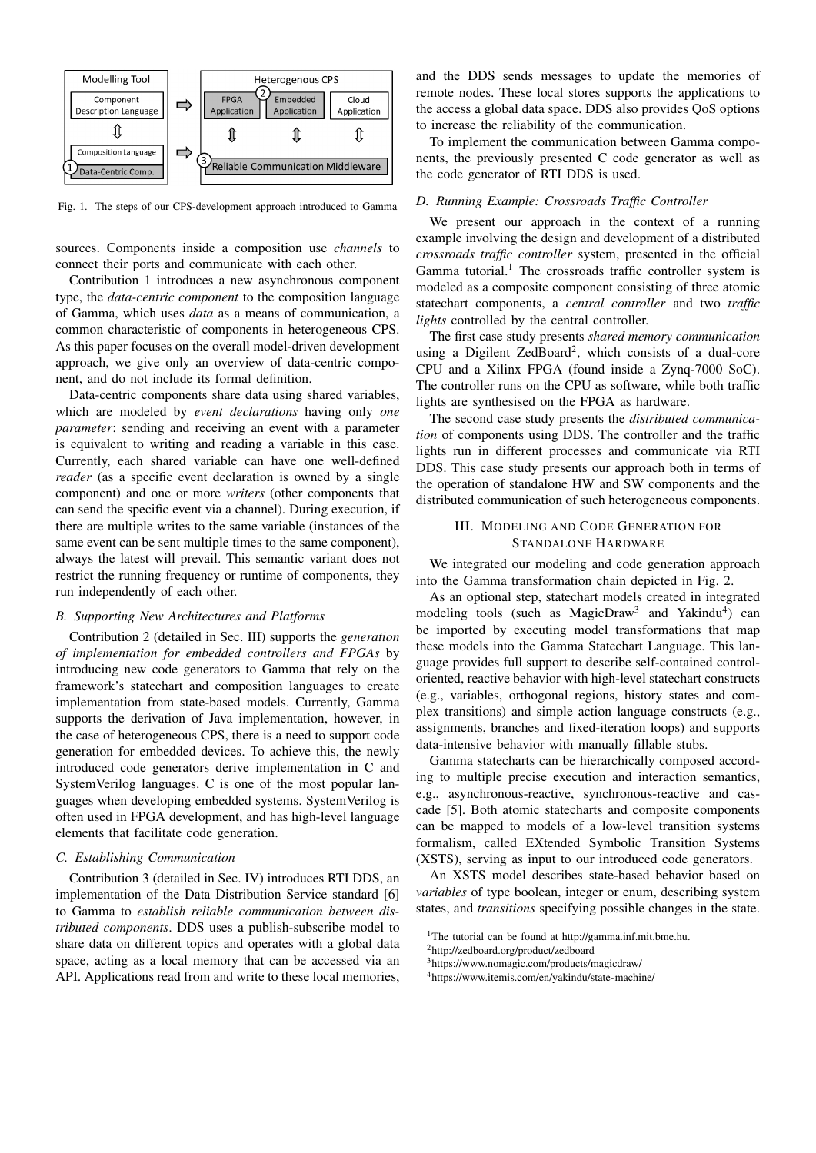

Fig. 1. The steps of our CPS-development approach introduced to Gamma

sources. Components inside a composition use *channels* to connect their ports and communicate with each other.

Contribution 1 introduces a new asynchronous component type, the *data-centric component* to the composition language of Gamma, which uses *data* as a means of communication, a common characteristic of components in heterogeneous CPS. As this paper focuses on the overall model-driven development approach, we give only an overview of data-centric component, and do not include its formal definition.

Data-centric components share data using shared variables, which are modeled by *event declarations* having only *one parameter*: sending and receiving an event with a parameter is equivalent to writing and reading a variable in this case. Currently, each shared variable can have one well-defined *reader* (as a specific event declaration is owned by a single component) and one or more *writers* (other components that can send the specific event via a channel). During execution, if there are multiple writes to the same variable (instances of the same event can be sent multiple times to the same component), always the latest will prevail. This semantic variant does not restrict the running frequency or runtime of components, they run independently of each other.

#### *B. Supporting New Architectures and Platforms*

Contribution 2 (detailed in Sec. III) supports the *generation of implementation for embedded controllers and FPGAs* by introducing new code generators to Gamma that rely on the framework's statechart and composition languages to create implementation from state-based models. Currently, Gamma supports the derivation of Java implementation, however, in the case of heterogeneous CPS, there is a need to support code generation for embedded devices. To achieve this, the newly introduced code generators derive implementation in C and SystemVerilog languages. C is one of the most popular languages when developing embedded systems. SystemVerilog is often used in FPGA development, and has high-level language elements that facilitate code generation.

#### *C. Establishing Communication*

Contribution 3 (detailed in Sec. IV) introduces RTI DDS, an implementation of the Data Distribution Service standard [6] to Gamma to *establish reliable communication between distributed components*. DDS uses a publish-subscribe model to share data on different topics and operates with a global data space, acting as a local memory that can be accessed via an API. Applications read from and write to these local memories,

and the DDS sends messages to update the memories of remote nodes. These local stores supports the applications to the access a global data space. DDS also provides QoS options to increase the reliability of the communication.

To implement the communication between Gamma components, the previously presented C code generator as well as the code generator of RTI DDS is used.

## *D. Running Example: Crossroads Traffic Controller*

We present our approach in the context of a running example involving the design and development of a distributed *crossroads traffic controller* system, presented in the official Gamma tutorial.<sup>1</sup> The crossroads traffic controller system is modeled as a composite component consisting of three atomic statechart components, a *central controller* and two *traffic lights* controlled by the central controller.

The first case study presents *shared memory communication* using a Digilent ZedBoard<sup>2</sup>, which consists of a dual-core CPU and a Xilinx FPGA (found inside a Zynq-7000 SoC). The controller runs on the CPU as software, while both traffic lights are synthesised on the FPGA as hardware.

The second case study presents the *distributed communication* of components using DDS. The controller and the traffic lights run in different processes and communicate via RTI DDS. This case study presents our approach both in terms of the operation of standalone HW and SW components and the distributed communication of such heterogeneous components.

# III. MODELING AND CODE GENERATION FOR STANDALONE HARDWARE

We integrated our modeling and code generation approach into the Gamma transformation chain depicted in Fig. 2.

As an optional step, statechart models created in integrated modeling tools (such as MagicDraw<sup>3</sup> and Yakindu<sup>4</sup>) can be imported by executing model transformations that map these models into the Gamma Statechart Language. This language provides full support to describe self-contained controloriented, reactive behavior with high-level statechart constructs (e.g., variables, orthogonal regions, history states and complex transitions) and simple action language constructs (e.g., assignments, branches and fixed-iteration loops) and supports data-intensive behavior with manually fillable stubs.

Gamma statecharts can be hierarchically composed according to multiple precise execution and interaction semantics, e.g., asynchronous-reactive, synchronous-reactive and cascade [5]. Both atomic statecharts and composite components can be mapped to models of a low-level transition systems formalism, called EXtended Symbolic Transition Systems (XSTS), serving as input to our introduced code generators.

An XSTS model describes state-based behavior based on *variables* of type boolean, integer or enum, describing system states, and *transitions* specifying possible changes in the state.

<sup>&</sup>lt;sup>1</sup>The tutorial can be found at http://gamma.inf.mit.bme.hu.

<sup>2</sup>http://zedboard.org/product/zedboard

<sup>3</sup>https://www.nomagic.com/products/magicdraw/

<sup>4</sup>https://www.itemis.com/en/yakindu/state-machine/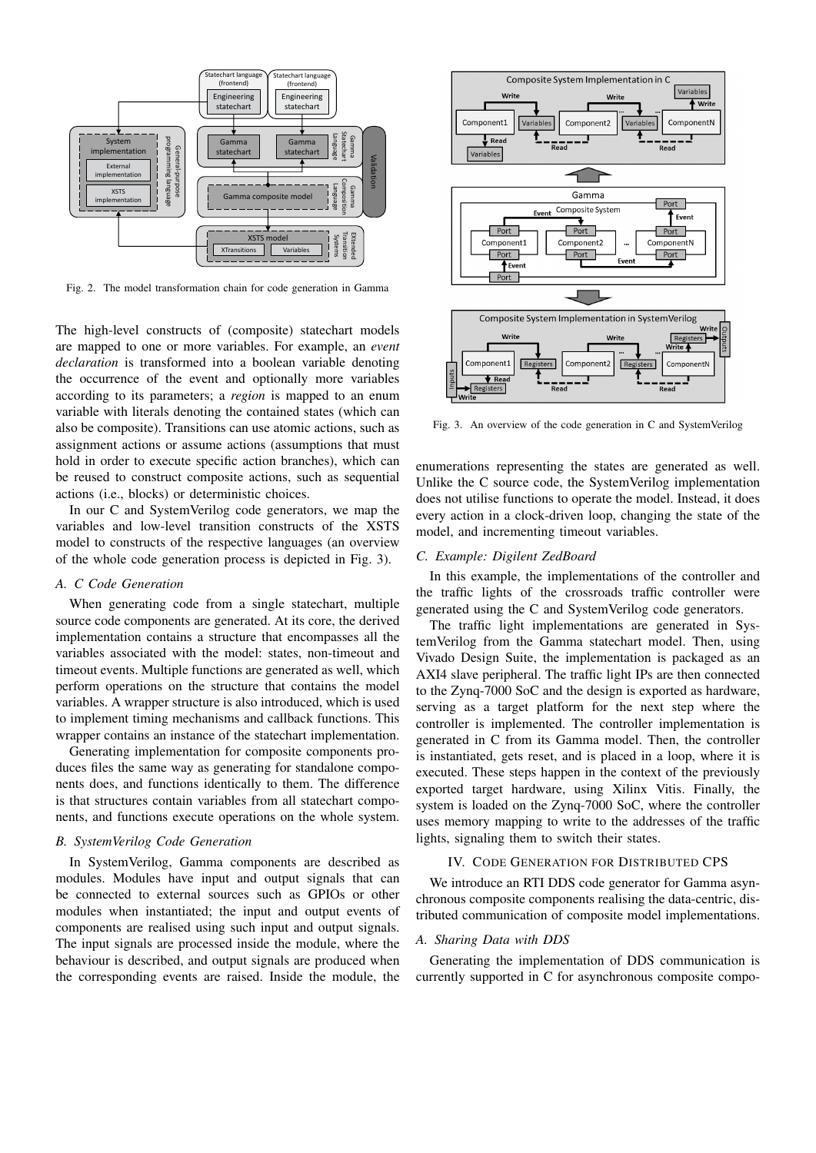

Fig. 2. The model transformation chain for code generation in Gamma

The high-level constructs of (composite) statechart models are mapped to one or more variables. For example, an *event declaration* is transformed into a boolean variable denoting the occurrence of the event and optionally more variables according to its parameters; a *region* is mapped to an enum variable with literals denoting the contained states (which can also be composite). Transitions can use atomic actions, such as assignment actions or assume actions (assumptions that must hold in order to execute specific action branches), which can be reused to construct composite actions, such as sequential actions (i.e., blocks) or deterministic choices.

In our C and SystemVerilog code generators, we map the variables and low-level transition constructs of the XSTS model to constructs of the respective languages (an overview of the whole code generation process is depicted in Fig. 3).

#### *A. C Code Generation*

When generating code from a single statechart, multiple source code components are generated. At its core, the derived implementation contains a structure that encompasses all the variables associated with the model: states, non-timeout and timeout events. Multiple functions are generated as well, which perform operations on the structure that contains the model variables. A wrapper structure is also introduced, which is used to implement timing mechanisms and callback functions. This wrapper contains an instance of the statechart implementation.

Generating implementation for composite components produces files the same way as generating for standalone components does, and functions identically to them. The difference is that structures contain variables from all statechart components, and functions execute operations on the whole system.

## *B. SystemVerilog Code Generation*

In SystemVerilog, Gamma components are described as modules. Modules have input and output signals that can be connected to external sources such as GPIOs or other modules when instantiated; the input and output events of components are realised using such input and output signals. The input signals are processed inside the module, where the behaviour is described, and output signals are produced when the corresponding events are raised. Inside the module, the



Fig. 3. An overview of the code generation in C and SystemVerilog

enumerations representing the states are generated as well. Unlike the C source code, the SystemVerilog implementation does not utilise functions to operate the model. Instead, it does every action in a clock-driven loop, changing the state of the model, and incrementing timeout variables.

#### *C. Example: Digilent ZedBoard*

In this example, the implementations of the controller and the traffic lights of the crossroads traffic controller were generated using the C and SystemVerilog code generators.

The traffic light implementations are generated in SystemVerilog from the Gamma statechart model. Then, using Vivado Design Suite, the implementation is packaged as an AXI4 slave peripheral. The traffic light IPs are then connected to the Zynq-7000 SoC and the design is exported as hardware, serving as a target platform for the next step where the controller is implemented. The controller implementation is generated in C from its Gamma model. Then, the controller is instantiated, gets reset, and is placed in a loop, where it is executed. These steps happen in the context of the previously exported target hardware, using Xilinx Vitis. Finally, the system is loaded on the Zynq-7000 SoC, where the controller uses memory mapping to write to the addresses of the traffic lights, signaling them to switch their states.

#### IV. CODE GENERATION FOR DISTRIBUTED CPS

We introduce an RTI DDS code generator for Gamma asynchronous composite components realising the data-centric, distributed communication of composite model implementations.

#### *A. Sharing Data with DDS*

Generating the implementation of DDS communication is currently supported in C for asynchronous composite compo